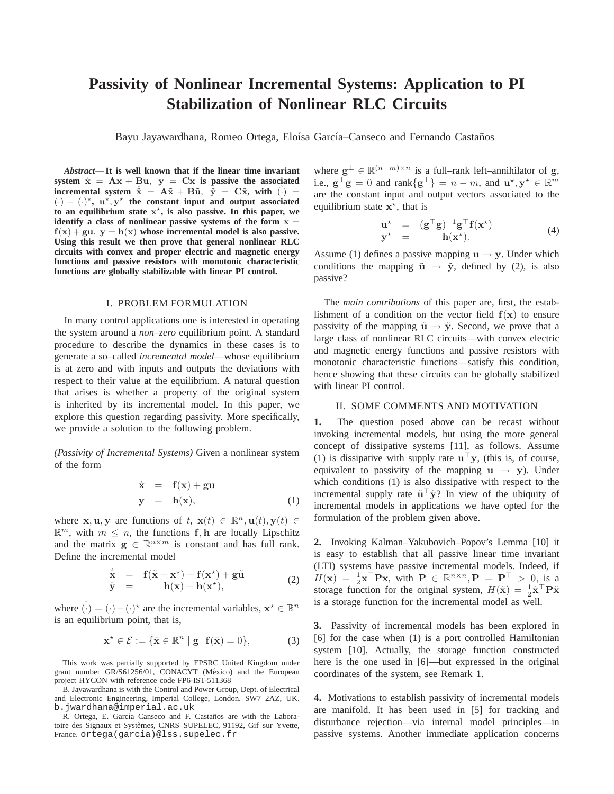# **Passivity of Nonlinear Incremental Systems: Application to PI Stabilization of Nonlinear RLC Circuits**

Bayu Jayawardhana, Romeo Ortega, Eloísa García–Canseco and Fernando Castaños

*Abstract***— It is well known that if the linear time invariant** system  $\dot{x} = Ax + Bu$ ,  $y = Cx$  is passive the associated **incremental system**  $\dot{\tilde{\mathbf{x}}} = \mathbf{A}\tilde{\mathbf{x}} + \mathbf{B}\tilde{\mathbf{u}}$ ,  $\tilde{\mathbf{y}} = \mathbf{C}\tilde{\mathbf{x}}$ , with  $(\cdot) =$  $(\cdot) - (\cdot)^{\star}$ ,  $u^{\star}$ ,  $y^{\star}$  the constant input and output associated **to an equilibrium state** x ⋆ **, is also passive. In this paper, we identify a class of nonlinear passive systems of the form**  $\dot{x}$  **=**  $f(x) + gu$ ,  $y = h(x)$  whose incremental model is also passive. **Using this result we then prove that general nonlinear RLC circuits with convex and proper electric and magnetic energy functions and passive resistors with monotonic characteristic functions are globally stabilizable with linear PI control.**

## I. PROBLEM FORMULATION

In many control applications one is interested in operating the system around a *non–zero* equilibrium point. A standard procedure to describe the dynamics in these cases is to generate a so–called *incremental model*—whose equilibrium is at zero and with inputs and outputs the deviations with respect to their value at the equilibrium. A natural question that arises is whether a property of the original system is inherited by its incremental model. In this paper, we explore this question regarding passivity. More specifically, we provide a solution to the following problem.

*(Passivity of Incremental Systems)* Given a nonlinear system of the form

$$
\dot{\mathbf{x}} = \mathbf{f}(\mathbf{x}) + \mathbf{g}\mathbf{u} \n\mathbf{y} = \mathbf{h}(\mathbf{x}),
$$
\n(1)

where **x**, **u**, **y** are functions of  $t$ , **x**(*t*)  $\in \mathbb{R}^n$ , **u**(*t*), **y**(*t*)  $\in$  $\mathbb{R}^m$ , with  $m \leq n$ , the functions f, h are locally Lipschitz and the matrix  $\mathbf{g} \in \mathbb{R}^{n \times m}$  is constant and has full rank. Define the incremental model

$$
\dot{\tilde{\mathbf{x}}} = \mathbf{f}(\tilde{\mathbf{x}} + \mathbf{x}^*) - \mathbf{f}(\mathbf{x}^*) + \mathbf{g}\tilde{\mathbf{u}} \n\tilde{\mathbf{y}} = \mathbf{h}(\mathbf{x}) - \mathbf{h}(\mathbf{x}^*),
$$
\n(2)

where  $\tilde{(\cdot)} = (\cdot) - (\cdot)^*$  are the incremental variables,  $\mathbf{x}^* \in \mathbb{R}^n$ is an equilibrium point, that is,

$$
\mathbf{x}^{\star} \in \mathcal{E} := \{ \bar{\mathbf{x}} \in \mathbb{R}^n \mid \mathbf{g}^{\perp} \mathbf{f}(\bar{\mathbf{x}}) = 0 \},\tag{3}
$$

This work was partially supported by EPSRC United Kingdom under grant number GR/S61256/01, CONACYT (México) and the European project HYCON with reference code FP6-IST-511368

B. Jayawardhana is with the Control and Power Group, Dept. of Electrical and Electronic Engineering, Imperial College, London. SW7 2AZ, UK. b.jwardhana@imperial.ac.uk

R. Ortega, E. García-Canseco and F. Castaños are with the Laboratoire des Signaux et Systèmes, CNRS–SUPELEC, 91192, Gif-sur-Yvette, France. ortega(garcia)@lss.supelec.fr

where  $g^{\perp} \in \mathbb{R}^{(n-m)\times n}$  is a full–rank left–annihilator of g, i.e.,  $g^{\perp}g = 0$  and  $rank{g^{\perp}} = n - m$ , and  $\mathbf{u}^{\star}, \mathbf{y}^{\star} \in \mathbb{R}^{m}$ are the constant input and output vectors associated to the equilibrium state  $x^*$ , that is

$$
\mathbf{u}^{\star} = (\mathbf{g}^{\top} \mathbf{g})^{-1} \mathbf{g}^{\top} \mathbf{f}(\mathbf{x}^{\star}) \n\mathbf{y}^{\star} = \mathbf{h}(\mathbf{x}^{\star}).
$$
\n(4)

Assume (1) defines a passive mapping  $\mathbf{u} \rightarrow \mathbf{y}$ . Under which conditions the mapping  $\tilde{u} \rightarrow \tilde{y}$ , defined by (2), is also passive?

The *main contributions* of this paper are, first, the establishment of a condition on the vector field  $f(x)$  to ensure passivity of the mapping  $\tilde{u} \rightarrow \tilde{y}$ . Second, we prove that a large class of nonlinear RLC circuits—with convex electric and magnetic energy functions and passive resistors with monotonic characteristic functions—satisfy this condition, hence showing that these circuits can be globally stabilized with linear PI control.

### II. SOME COMMENTS AND MOTIVATION

**1.** The question posed above can be recast without invoking incremental models, but using the more general concept of dissipative systems [11], as follows. Assume (1) is dissipative with supply rate  $\mathbf{u}^\top \mathbf{y}$ , (this is, of course, equivalent to passivity of the mapping  $u \rightarrow y$ ). Under which conditions (1) is also dissipative with respect to the incremental supply rate  $\tilde{\mathbf{u}}^{\top} \tilde{\mathbf{y}}$ ? In view of the ubiquity of incremental models in applications we have opted for the formulation of the problem given above.

**2.** Invoking Kalman–Yakubovich–Popov's Lemma [10] it is easy to establish that all passive linear time invariant (LTI) systems have passive incremental models. Indeed, if  $H(\mathbf{x}) = \frac{1}{2}\mathbf{x}^{\top} \mathbf{P} \mathbf{x}$ , with  $\mathbf{P} \in \mathbb{R}^{n \times n}$ ,  $\mathbf{P} = \mathbf{P}^{\top} > 0$ , is a storage function for the original system,  $H(\tilde{\mathbf{x}}) = \frac{1}{2} \tilde{\mathbf{x}}^{\top} \mathbf{P} \tilde{\mathbf{x}}$ is a storage function for the incremental model as well.

**3.** Passivity of incremental models has been explored in [6] for the case when (1) is a port controlled Hamiltonian system [10]. Actually, the storage function constructed here is the one used in [6]—but expressed in the original coordinates of the system, see Remark 1.

**4.** Motivations to establish passivity of incremental models are manifold. It has been used in [5] for tracking and disturbance rejection—via internal model principles—in passive systems. Another immediate application concerns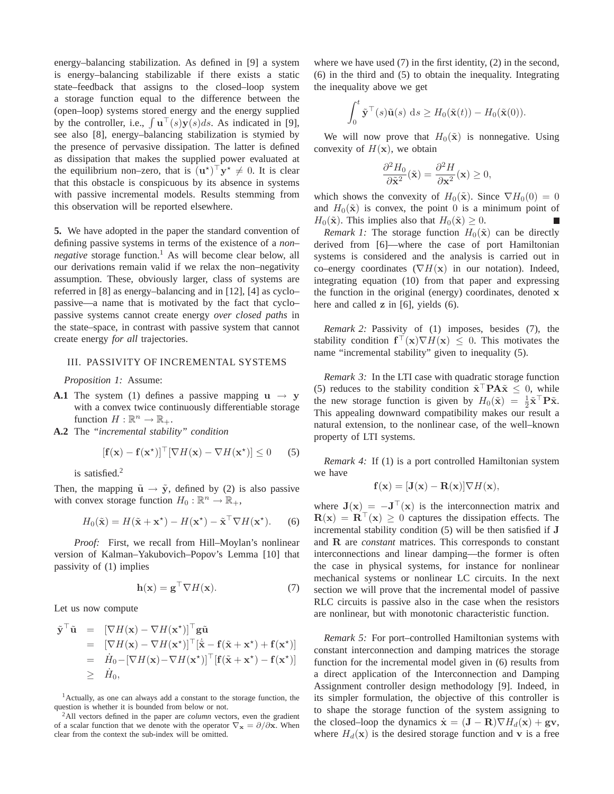energy–balancing stabilization. As defined in [9] a system is energy–balancing stabilizable if there exists a static state–feedback that assigns to the closed–loop system a storage function equal to the difference between the (open–loop) systems stored energy and the energy supplied by the controller, i.e.,  $\int \mathbf{u}^{T}(s)\mathbf{y}(s)ds$ . As indicated in [9], see also [8], energy–balancing stabilization is stymied by the presence of pervasive dissipation. The latter is defined as dissipation that makes the supplied power evaluated at the equilibrium non–zero, that is  $(\mathbf{u}^*)^{\top} \mathbf{y}^* \neq 0$ . It is clear that this obstacle is conspicuous by its absence in systems with passive incremental models. Results stemming from this observation will be reported elsewhere.

**5.** We have adopted in the paper the standard convention of defining passive systems in terms of the existence of a *non– negative* storage function.<sup>1</sup> As will become clear below, all our derivations remain valid if we relax the non–negativity assumption. These, obviously larger, class of systems are referred in [8] as energy–balancing and in [12], [4] as cyclo– passive—a name that is motivated by the fact that cyclo– passive systems cannot create energy *over closed paths* in the state–space, in contrast with passive system that cannot create energy *for all* trajectories.

### III. PASSIVITY OF INCREMENTAL SYSTEMS

*Proposition 1:* Assume:

- **A.1** The system (1) defines a passive mapping  $u \rightarrow y$ with a convex twice continuously differentiable storage function  $H: \mathbb{R}^n \to \mathbb{R}_+$ .
- **A.2** The *"incremental stability" condition*

$$
[\mathbf{f}(\mathbf{x}) - \mathbf{f}(\mathbf{x}^*)]^\top [\nabla H(\mathbf{x}) - \nabla H(\mathbf{x}^*)] \le 0 \qquad (5)
$$

is satisfied.<sup>2</sup>

Then, the mapping  $\tilde{u} \rightarrow \tilde{y}$ , defined by (2) is also passive with convex storage function  $H_0: \mathbb{R}^n \to \mathbb{R}_+$ ,

$$
H_0(\tilde{\mathbf{x}}) = H(\tilde{\mathbf{x}} + \mathbf{x}^*) - H(\mathbf{x}^*) - \tilde{\mathbf{x}}^\top \nabla H(\mathbf{x}^*).
$$
 (6)

*Proof:* First, we recall from Hill–Moylan's nonlinear version of Kalman–Yakubovich–Popov's Lemma [10] that passivity of (1) implies

$$
\mathbf{h}(\mathbf{x}) = \mathbf{g}^{\top} \nabla H(\mathbf{x}).\tag{7}
$$

Let us now compute

$$
\tilde{\mathbf{y}}^{\top} \tilde{\mathbf{u}} = [\nabla H(\mathbf{x}) - \nabla H(\mathbf{x}^*)]^{\top} \mathbf{g} \tilde{\mathbf{u}} \n= [\nabla H(\mathbf{x}) - \nabla H(\mathbf{x}^*)]^{\top} [\dot{\tilde{\mathbf{x}}} - \mathbf{f}(\tilde{\mathbf{x}} + \mathbf{x}^*) + \mathbf{f}(\mathbf{x}^*)] \n= \dot{H}_0 - [\nabla H(\mathbf{x}) - \nabla H(\mathbf{x}^*)]^{\top} [\mathbf{f}(\tilde{\mathbf{x}} + \mathbf{x}^*) - \mathbf{f}(\mathbf{x}^*)] \n\geq \dot{H}_0,
$$

<sup>1</sup>Actually, as one can always add a constant to the storage function, the question is whether it is bounded from below or not.

<sup>2</sup>All vectors defined in the paper are *column* vectors, even the gradient of a scalar function that we denote with the operator  $\nabla_{\mathbf{x}} = \partial/\partial \mathbf{x}$ . When clear from the context the sub-index will be omitted.

where we have used (7) in the first identity, (2) in the second, (6) in the third and (5) to obtain the inequality. Integrating the inequality above we get

$$
\int_0^t \tilde{\mathbf{y}}^\top(s)\tilde{\mathbf{u}}(s) \,ds \geq H_0(\tilde{\mathbf{x}}(t)) - H_0(\tilde{\mathbf{x}}(0)).
$$

We will now prove that  $H_0(\tilde{\mathbf{x}})$  is nonnegative. Using convexity of  $H(\mathbf{x})$ , we obtain

$$
\frac{\partial^2 H_0}{\partial \tilde{\mathbf{x}}^2}(\tilde{\mathbf{x}}) = \frac{\partial^2 H}{\partial \mathbf{x}^2}(\mathbf{x}) \ge 0,
$$

which shows the convexity of  $H_0(\tilde{\mathbf{x}})$ . Since  $\nabla H_0(0) = 0$ and  $H_0(\tilde{\mathbf{x}})$  is convex, the point 0 is a minimum point of  $H_0(\tilde{\mathbf{x}})$ . This implies also that  $H_0(\tilde{\mathbf{x}}) \geq 0$ .  $\blacksquare$ 

*Remark 1:* The storage function  $H_0(\tilde{\mathbf{x}})$  can be directly derived from [6]—where the case of port Hamiltonian systems is considered and the analysis is carried out in co–energy coordinates  $(\nabla H(\mathbf{x}))$  in our notation). Indeed, integrating equation (10) from that paper and expressing the function in the original (energy) coordinates, denoted x here and called **z** in [6], yields (6).

*Remark 2:* Passivity of (1) imposes, besides (7), the stability condition  $f^{\dagger}(\mathbf{x}) \nabla H(\mathbf{x}) \leq 0$ . This motivates the name "incremental stability" given to inequality (5).

*Remark 3:* In the LTI case with quadratic storage function (5) reduces to the stability condition  $\tilde{\mathbf{x}}^\top \mathbf{P} \mathbf{A} \tilde{\mathbf{x}} \leq 0$ , while the new storage function is given by  $H_0(\tilde{\mathbf{x}}) = \frac{1}{2} \tilde{\mathbf{x}}^\top \mathbf{P} \tilde{\mathbf{x}}$ . This appealing downward compatibility makes our result a natural extension, to the nonlinear case, of the well–known property of LTI systems.

*Remark 4:* If (1) is a port controlled Hamiltonian system we have

$$
\mathbf{f}(\mathbf{x}) = [\mathbf{J}(\mathbf{x}) - \mathbf{R}(\mathbf{x})] \nabla H(\mathbf{x}),
$$

where  $J(x) = -J^{\top}(x)$  is the interconnection matrix and  $R(x) = R^{\top}(x) \ge 0$  captures the dissipation effects. The incremental stability condition (5) will be then satisfied if J and R are *constant* matrices. This corresponds to constant interconnections and linear damping—the former is often the case in physical systems, for instance for nonlinear mechanical systems or nonlinear LC circuits. In the next section we will prove that the incremental model of passive RLC circuits is passive also in the case when the resistors are nonlinear, but with monotonic characteristic function.

*Remark 5:* For port–controlled Hamiltonian systems with constant interconnection and damping matrices the storage function for the incremental model given in (6) results from a direct application of the Interconnection and Damping Assignment controller design methodology [9]. Indeed, in its simpler formulation, the objective of this controller is to shape the storage function of the system assigning to the closed–loop the dynamics  $\dot{\mathbf{x}} = (\mathbf{J} - \mathbf{R}) \nabla H_d(\mathbf{x}) + \mathbf{g} \mathbf{v}$ , where  $H_d(\mathbf{x})$  is the desired storage function and v is a free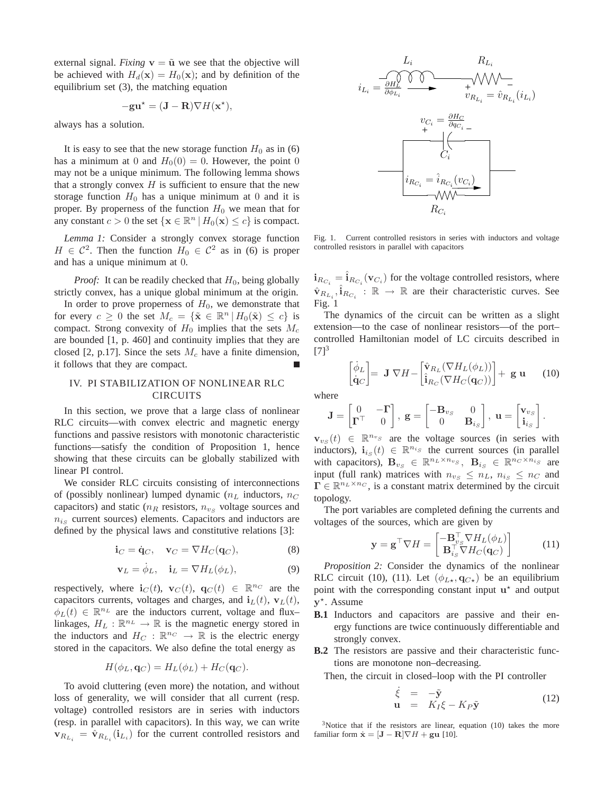external signal. *Fixing*  $v = \tilde{u}$  we see that the objective will be achieved with  $H_d(\mathbf{x}) = H_0(\mathbf{x})$ ; and by definition of the equilibrium set (3), the matching equation

$$
-\mathbf{gu}^* = (\mathbf{J} - \mathbf{R}) \nabla H(\mathbf{x}^*),
$$

always has a solution.

It is easy to see that the new storage function  $H_0$  as in (6) has a minimum at 0 and  $H_0(0) = 0$ . However, the point 0 may not be a unique minimum. The following lemma shows that a strongly convex  $H$  is sufficient to ensure that the new storage function  $H_0$  has a unique minimum at 0 and it is proper. By properness of the function  $H_0$  we mean that for any constant  $c > 0$  the set  $\{ \mathbf{x} \in \mathbb{R}^n \mid H_0(\mathbf{x}) \leq c \}$  is compact.

*Lemma 1:* Consider a strongly convex storage function  $H \in C^2$ . Then the function  $H_0 \in C^2$  as in (6) is proper and has a unique minimum at 0.

*Proof:* It can be readily checked that  $H_0$ , being globally strictly convex, has a unique global minimum at the origin.

In order to prove properness of  $H_0$ , we demonstrate that for every  $c \geq 0$  the set  $M_c = {\{\tilde{\mathbf{x}} \in \mathbb{R}^n | H_0(\tilde{\mathbf{x}}) \leq c\}}$  is compact. Strong convexity of  $H_0$  implies that the sets  $M_c$ are bounded [1, p. 460] and continuity implies that they are closed [2, p.17]. Since the sets  $M_c$  have a finite dimension, it follows that they are compact.

## IV. PI STABILIZATION OF NONLINEAR RLC **CIRCUITS**

In this section, we prove that a large class of nonlinear RLC circuits—with convex electric and magnetic energy functions and passive resistors with monotonic characteristic functions—satisfy the condition of Proposition 1, hence showing that these circuits can be globally stabilized with linear PI control.

We consider RLC circuits consisting of interconnections of (possibly nonlinear) lumped dynamic ( $n<sub>L</sub>$  inductors,  $n<sub>C</sub>$ capacitors) and static ( $n_R$  resistors,  $n_{vs}$  voltage sources and  $n_{is}$  current sources) elements. Capacitors and inductors are defined by the physical laws and constitutive relations [3]:

$$
\mathbf{i}_C = \dot{\mathbf{q}}_C, \quad \mathbf{v}_C = \nabla H_C(\mathbf{q}_C), \tag{8}
$$

$$
\mathbf{v}_L = \dot{\phi}_L, \quad \mathbf{i}_L = \nabla H_L(\phi_L), \tag{9}
$$

respectively, where  $\mathbf{i}_C(t)$ ,  $\mathbf{v}_C(t)$ ,  $\mathbf{q}_C(t) \in \mathbb{R}^{n_C}$  are the capacitors currents, voltages and charges, and  $i_l(t)$ ,  $v_l(t)$ ,  $\phi_L(t) \in \mathbb{R}^{n_L}$  are the inductors current, voltage and flux– linkages,  $H_L : \mathbb{R}^{n_L} \to \mathbb{R}$  is the magnetic energy stored in the inductors and  $H_C : \mathbb{R}^{n_C} \to \mathbb{R}$  is the electric energy stored in the capacitors. We also define the total energy as

$$
H(\phi_L, \mathbf{q}_C) = H_L(\phi_L) + H_C(\mathbf{q}_C).
$$

To avoid cluttering (even more) the notation, and without loss of generality, we will consider that all current (resp. voltage) controlled resistors are in series with inductors (resp. in parallel with capacitors). In this way, we can write  $\mathbf{v}_{R_{L_i}} = \hat{\mathbf{v}}_{R_{L_i}}(\mathbf{i}_{L_i})$  for the current controlled resistors and



Fig. 1. Current controlled resistors in series with inductors and voltage controlled resistors in parallel with capacitors

 $\mathbf{i}_{R_{C_i}} = \hat{\mathbf{i}}_{R_{C_i}}(\mathbf{v}_{C_i})$  for the voltage controlled resistors, where  $\hat{\mathbf{v}}_{R_{L_i}}, \hat{\mathbf{i}}_{R_{C_i}} : \mathbb{R} \to \mathbb{R}$  are their characteristic curves. See Fig. 1

The dynamics of the circuit can be written as a slight extension—to the case of nonlinear resistors—of the port– controlled Hamiltonian model of LC circuits described in  $[7]^3$ 

$$
\begin{bmatrix} \dot{\phi}_L \\ \dot{\mathbf{q}}_C \end{bmatrix} = \mathbf{J} \nabla H - \begin{bmatrix} \hat{\mathbf{v}}_{R_L} (\nabla H_L(\phi_L)) \\ \hat{\mathbf{i}}_{R_C} (\nabla H_C(\mathbf{q}_C)) \end{bmatrix} + \mathbf{g} \mathbf{u} \qquad (10)
$$

where

$$
\mathbf{J} = \begin{bmatrix} 0 & -\mathbf{\Gamma} \\ \mathbf{\Gamma}^{\top} & 0 \end{bmatrix}, \ \mathbf{g} = \begin{bmatrix} -\mathbf{B}_{v_S} & 0 \\ 0 & \mathbf{B}_{i_S} \end{bmatrix}, \ \mathbf{u} = \begin{bmatrix} \mathbf{v}_{v_S} \\ \mathbf{i}_{i_S} \end{bmatrix}.
$$

 $\mathbf{v}_{v_S}(t) \in \mathbb{R}^{n_{v_S}}$  are the voltage sources (in series with inductors),  $\mathbf{i}_{is}(t) \in \mathbb{R}^{n_{is}}$  the current sources (in parallel with capacitors),  $\mathbf{B}_{v_S} \in \mathbb{R}^{n_L \times n_{v_S}}$ ,  $\mathbf{B}_{i_S} \in \mathbb{R}^{n_C \times n_{i_S}}$  are input (full rank) matrices with  $n_{v_S} \leq n_L$ ,  $n_{i_S} \leq n_C$  and  $\Gamma \in \mathbb{R}^{n_L \times n_C}$ , is a constant matrix determined by the circuit topology.

The port variables are completed defining the currents and voltages of the sources, which are given by

$$
\mathbf{y} = \mathbf{g}^{\top} \nabla H = \begin{bmatrix} -\mathbf{B}_{vs}^{\top} \nabla H_L(\phi_L) \\ \mathbf{B}_{is}^{\top} \nabla H_C(\mathbf{q}_C) \end{bmatrix} \quad (11)
$$

*Proposition 2:* Consider the dynamics of the nonlinear RLC circuit (10), (11). Let  $(\phi_{L\star}, \mathbf{q}_{C\star})$  be an equilibrium point with the corresponding constant input  $\mathbf{u}^*$  and output y ⋆ . Assume

- **B.1** Inductors and capacitors are passive and their energy functions are twice continuously differentiable and strongly convex.
- **B.2** The resistors are passive and their characteristic functions are monotone non–decreasing.

Then, the circuit in closed–loop with the PI controller

$$
\dot{\xi} = -\tilde{\mathbf{y}}\mathbf{u} = K_I \xi - K_P \tilde{\mathbf{y}} \tag{12}
$$

 $3$ Notice that if the resistors are linear, equation (10) takes the more familiar form  $\dot{\mathbf{x}} = [\mathbf{J} - \mathbf{R}] \nabla H + \mathbf{g} \mathbf{u}$  [10].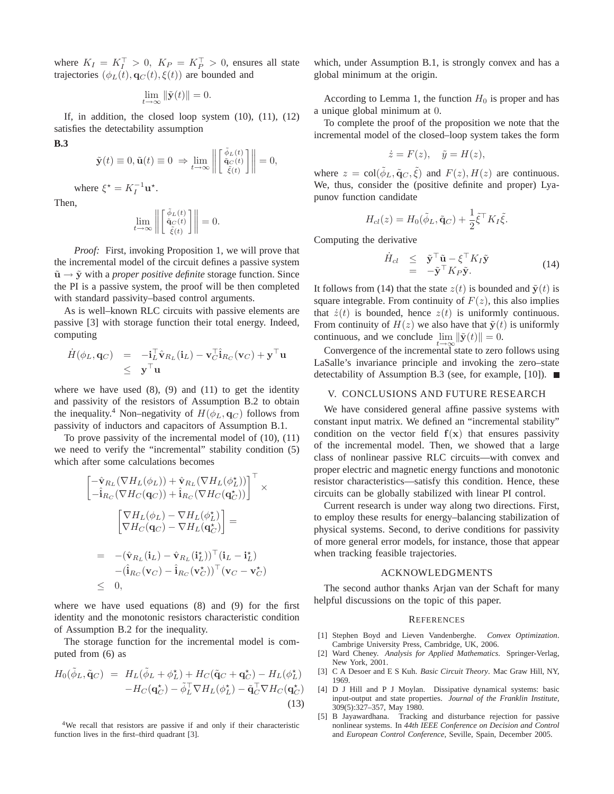where  $K_I = K_I^{\top} > 0$ ,  $K_P = K_P^{\top} > 0$ , ensures all state trajectories  $(\phi_L(t), \mathbf{q}_C(t), \xi(t))$  are bounded and

$$
\lim_{t \to \infty} \|\tilde{\mathbf{y}}(t)\| = 0.
$$

If, in addition, the closed loop system  $(10)$ ,  $(11)$ ,  $(12)$ satisfies the detectability assumption

$$
\mathbf{B.3}
$$

$$
\tilde{\mathbf{y}}(t) \equiv 0, \tilde{\mathbf{u}}(t) \equiv 0 \Rightarrow \lim_{t \to \infty} \left\| \begin{bmatrix} \tilde{\phi}_L(t) \\ \tilde{\mathbf{q}}_C(t) \\ \tilde{\xi}(t) \end{bmatrix} \right\| = 0,
$$

where  $\xi^* = K_I^{-1} \mathbf{u}^*$ .

Then,

$$
\lim_{t \to \infty} \left\| \begin{bmatrix} \tilde{\phi}_L(t) \\ \tilde{\mathbf{q}}_C(t) \\ \tilde{\xi}(t) \end{bmatrix} \right\| = 0.
$$

*Proof:* First, invoking Proposition 1, we will prove that the incremental model of the circuit defines a passive system  $\tilde{u} \rightarrow \tilde{y}$  with a *proper positive definite* storage function. Since the PI is a passive system, the proof will be then completed with standard passivity–based control arguments.

As is well–known RLC circuits with passive elements are passive [3] with storage function their total energy. Indeed, computing

$$
\dot{H}(\phi_L, \mathbf{q}_C) = -\mathbf{i}_L^{\top} \hat{\mathbf{v}}_{R_L}(\mathbf{i}_L) - \mathbf{v}_C^{\top} \hat{\mathbf{i}}_{R_C}(\mathbf{v}_C) + \mathbf{y}^{\top} \mathbf{u} \leq \mathbf{y}^{\top} \mathbf{u}
$$

where we have used  $(8)$ ,  $(9)$  and  $(11)$  to get the identity and passivity of the resistors of Assumption B.2 to obtain the inequality.<sup>4</sup> Non–negativity of  $H(\phi_L, \mathbf{q}_C)$  follows from passivity of inductors and capacitors of Assumption B.1.

To prove passivity of the incremental model of (10), (11) we need to verify the "incremental" stability condition (5) which after some calculations becomes

$$
\begin{aligned}\n&\begin{bmatrix}\n-\hat{\mathbf{v}}_{R_L}(\nabla H_L(\phi_L)) + \hat{\mathbf{v}}_{R_L}(\nabla H_L(\phi_L^{\star}))\n\end{bmatrix}^{\top} \times \\
&\begin{bmatrix}\n-\hat{\mathbf{i}}_{R_C}(\nabla H_C(\mathbf{q}_C)) + \hat{\mathbf{i}}_{R_C}(\nabla H_C(\mathbf{q}_C^{\star}))\n\end{bmatrix}^{\top} \times \\
&\begin{bmatrix}\n\nabla H_L(\phi_L) - \nabla H_L(\phi_L^{\star})\n\end{bmatrix} = \\
&= -(\hat{\mathbf{v}}_{R_L}(\mathbf{i}_L) - \hat{\mathbf{v}}_{R_L}(\mathbf{i}_L^{\star}))^{\top}(\mathbf{i}_L - \mathbf{i}_L^{\star})\n\end{bmatrix} \\
&\begin{bmatrix}\n-\hat{\mathbf{i}}_{R_C}(\mathbf{v}_C) - \hat{\mathbf{i}}_{R_C}(\mathbf{v}_C^{\star})\n\end{bmatrix}^{\top}(\mathbf{v}_C - \mathbf{v}_C^{\star}) \\
&\leq 0,\n\end{aligned}
$$

where we have used equations (8) and (9) for the first identity and the monotonic resistors characteristic condition of Assumption B.2 for the inequality.

The storage function for the incremental model is computed from (6) as

$$
H_0(\tilde{\phi}_L, \tilde{\mathbf{q}}_C) = H_L(\tilde{\phi}_L + \phi_L^*) + H_C(\tilde{\mathbf{q}}_C + \mathbf{q}_C^*) - H_L(\phi_L^*) - H_C(\mathbf{q}_C^*) - \tilde{\phi}_L^\top \nabla H_L(\phi_L^*) - \tilde{\mathbf{q}}_C^\top \nabla H_C(\mathbf{q}_C^*)
$$
(13)

<sup>4</sup>We recall that resistors are passive if and only if their characteristic function lives in the first–third quadrant [3].

which, under Assumption B.1, is strongly convex and has a global minimum at the origin.

According to Lemma 1, the function  $H_0$  is proper and has a unique global minimum at 0.

To complete the proof of the proposition we note that the incremental model of the closed–loop system takes the form

$$
\dot{z} = F(z), \quad \tilde{y} = H(z),
$$

where  $z = \text{col}(\tilde{\phi}_L, \tilde{\mathbf{q}}_C, \tilde{\xi})$  and  $F(z), H(z)$  are continuous. We, thus, consider the (positive definite and proper) Lyapunov function candidate

$$
H_{cl}(z) = H_0(\tilde{\phi}_L, \tilde{\mathbf{q}}_C) + \frac{1}{2} \tilde{\xi}^\top K_I \tilde{\xi}.
$$

Computing the derivative

$$
\dot{H}_{cl} \leq \tilde{\mathbf{y}}^{\top} \tilde{\mathbf{u}} - \xi^{\top} K_I \tilde{\mathbf{y}} \n= -\tilde{\mathbf{y}}^{\top} K_P \tilde{\mathbf{y}}.
$$
\n(14)

It follows from (14) that the state  $z(t)$  is bounded and  $\tilde{\mathbf{v}}(t)$  is square integrable. From continuity of  $F(z)$ , this also implies that  $\dot{z}(t)$  is bounded, hence  $z(t)$  is uniformly continuous. From continuity of  $H(z)$  we also have that  $\tilde{y}(t)$  is uniformly continuous, and we conclude  $\lim_{t\to\infty} \|\tilde{\mathbf{y}}(t)\| = 0.$ 

Convergence of the incremental state to zero follows using LaSalle's invariance principle and invoking the zero–state detectability of Assumption B.3 (see, for example, [10]).  $\blacksquare$ 

## V. CONCLUSIONS AND FUTURE RESEARCH

We have considered general affine passive systems with constant input matrix. We defined an "incremental stability" condition on the vector field  $f(x)$  that ensures passivity of the incremental model. Then, we showed that a large class of nonlinear passive RLC circuits—with convex and proper electric and magnetic energy functions and monotonic resistor characteristics—satisfy this condition. Hence, these circuits can be globally stabilized with linear PI control.

Current research is under way along two directions. First, to employ these results for energy–balancing stabilization of physical systems. Second, to derive conditions for passivity of more general error models, for instance, those that appear when tracking feasible trajectories.

## ACKNOWLEDGMENTS

The second author thanks Arjan van der Schaft for many helpful discussions on the topic of this paper.

#### **REFERENCES**

- [1] Stephen Boyd and Lieven Vandenberghe. *Convex Optimization*. Cambrige University Press, Cambridge, UK, 2006.
- [2] Ward Cheney. *Analysis for Applied Mathematics*. Springer-Verlag, New York, 2001.
- [3] C A Desoer and E S Kuh. *Basic Circuit Theory*. Mac Graw Hill, NY, 1969.
- [4] D J Hill and P J Moylan. Dissipative dynamical systems: basic input-output and state properties. *Journal of the Franklin Institute*, 309(5):327–357, May 1980.
- [5] B Jayawardhana. Tracking and disturbance rejection for passive nonlinear systems. In *44th IEEE Conference on Decision and Control* and *European Control Conference*, Seville, Spain, December 2005.